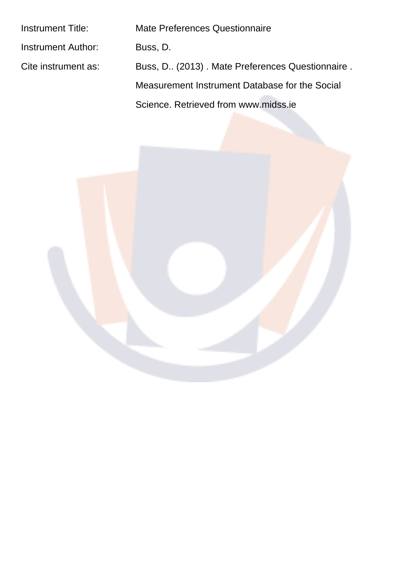| <b>Instrument Title:</b>  | Mate Preferences Questionnaire                   |
|---------------------------|--------------------------------------------------|
| <b>Instrument Author:</b> | Buss, D.                                         |
| Cite instrument as:       | Buss, D. (2013). Mate Preferences Questionnaire. |
|                           | Measurement Instrument Database for the Social   |
|                           | Science, Retrieved from www.midss.ie             |

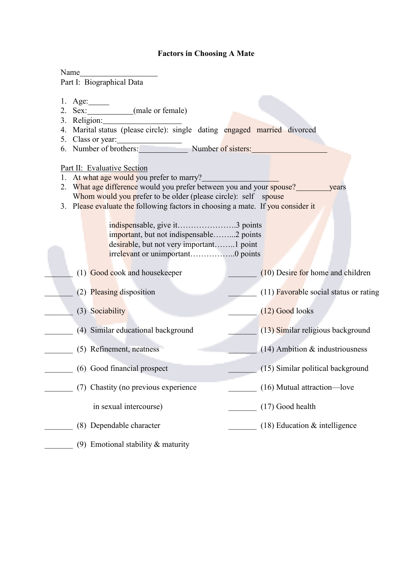## **Factors in Choosing A Mate**

| Part I: Biographical Data                                                                                                                                                                                                                                                                                                                                                                                                          |                                        |
|------------------------------------------------------------------------------------------------------------------------------------------------------------------------------------------------------------------------------------------------------------------------------------------------------------------------------------------------------------------------------------------------------------------------------------|----------------------------------------|
| 1. Age: $\_\_\_\_\_\_\_\_\_\_\_\_\_\_\_\_\_\_\_\_\_\_\_\_\_\_\_\_\_\_\_\_$<br>2. Sex: (male or female)                                                                                                                                                                                                                                                                                                                             |                                        |
| 3. Religion:<br>4. Marital status (please circle): single dating engaged married divorced<br>5. Class or year:                                                                                                                                                                                                                                                                                                                     |                                        |
| 5. Class or year:<br>6. Number of brothers: Number of sisters:                                                                                                                                                                                                                                                                                                                                                                     |                                        |
| Part II: Evaluative Section<br>1. At what age would you prefer to marry?<br>2. What age difference would you prefer between you and your spouse?<br>Whom would you prefer to be older (please circle): self spouse<br>3. Please evaluate the following factors in choosing a mate. If you consider it<br>important, but not indispensable2 points<br>desirable, but not very important1 point<br>irrelevant or unimportant0 points | years                                  |
| (1) Good cook and housekeeper                                                                                                                                                                                                                                                                                                                                                                                                      | $(10)$ Desire for home and children    |
| (2) Pleasing disposition                                                                                                                                                                                                                                                                                                                                                                                                           | (11) Favorable social status or rating |
| (3) Sociability                                                                                                                                                                                                                                                                                                                                                                                                                    | $(12)$ Good looks                      |
| (4) Similar educational background                                                                                                                                                                                                                                                                                                                                                                                                 | (13) Similar religious background      |
| (5) Refinement, neatness                                                                                                                                                                                                                                                                                                                                                                                                           | $(14)$ Ambition & industriousness      |
| (6) Good financial prospect                                                                                                                                                                                                                                                                                                                                                                                                        | (15) Similar political background      |
| (7) Chastity (no previous experience                                                                                                                                                                                                                                                                                                                                                                                               | (16) Mutual attraction-love            |
| in sexual intercourse)                                                                                                                                                                                                                                                                                                                                                                                                             | (17) Good health                       |
| (8) Dependable character                                                                                                                                                                                                                                                                                                                                                                                                           | $(18)$ Education & intelligence        |
| (9) Emotional stability $&$ maturity                                                                                                                                                                                                                                                                                                                                                                                               |                                        |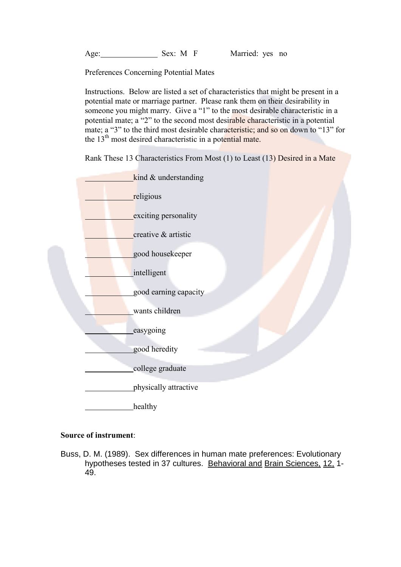Age: Sex: M F Married: yes no

Preferences Concerning Potential Mates

Instructions. Below are listed a set of characteristics that might be present in a potential mate or marriage partner. Please rank them on their desirability in someone you might marry. Give a "1" to the most desirable characteristic in a potential mate; a "2" to the second most desirable characteristic in a potential mate; a "3" to the third most desirable characteristic; and so on down to "13" for the 13<sup>th</sup> most desired characteristic in a potential mate.

Rank These 13 Characteristics From Most (1) to Least (13) Desired in a Mate



## Source of instrument:

Buss, D. M. (1989). Sex differences in human mate preferences: Evolutionary hypotheses tested in 37 cultures. Behavioral and Brain Sciences, 12, 1-49.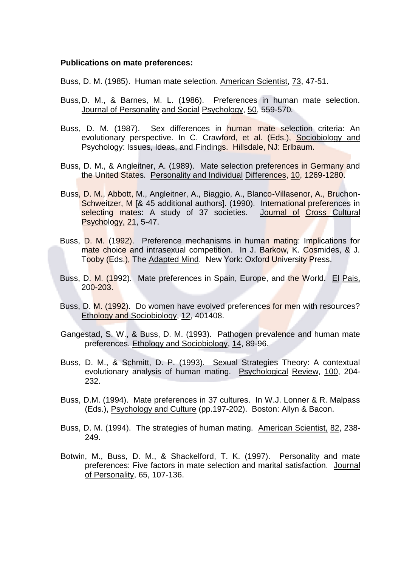## **Publications on mate preferences:**

Buss, D. M. (1985). Human mate selection. American Scientist, 73, 47-51.

- Buss.D. M., & Barnes. M. L. (1986). Preferences in human mate selection. Journal of Personality and Social Psychology, 50, 559-570.
- Buss, D. M. (1987). Sex differences in human mate selection criteria: An evolutionary perspective. In C. Crawford, et al. (Eds.), Sociobiology and Psychology: Issues, Ideas, and Findings. Hillsdale, NJ: Erlbaum.
- Buss. D. M., & Angleitner, A. (1989). Mate selection preferences in Germany and the United States. Personality and Individual Differences, 10, 1269-1280.
- Buss, D. M., Abbott, M., Angleitner, A., Biaggio, A., Blanco-Villasenor, A., Bruchon-Schweitzer, M [& 45 additional authors]. (1990). International preferences in selecting mates: A study of 37 societies. Journal of Cross Cultural Psychology, 21, 5-47.
- Buss, D. M. (1992). Preference mechanisms in human mating: Implications for mate choice and intrasexual competition. In J. Barkow, K. Cosmides, & J. Tooby (Eds.), The Adapted Mind. New York: Oxford University Press.
- Buss, D. M. (1992). Mate preferences in Spain, Europe, and the World. El Pais, 200-203.
- Buss, D. M. (1992). Do women have evolved preferences for men with resources? Ethology and Sociobiology, 12, 401408.
- Gangestad, S. W., & Buss, D. M. (1993). Pathogen prevalence and human mate preferences. Ethology and Sociobiology, 14, 89-96.
- Buss, D. M., & Schmitt, D. P. (1993). Sexual Strategies Theory: A contextual evolutionary analysis of human mating. Psychological Review, 100, 204-232.
- Buss, D.M. (1994). Mate preferences in 37 cultures. In W.J. Lonner & R. Malpass (Eds.), Psychology and Culture (pp.197-202). Boston: Allyn & Bacon.
- Buss, D. M. (1994). The strategies of human mating. American Scientist, 82, 238-249.
- Botwin, M., Buss, D. M., & Shackelford, T. K. (1997). Personality and mate preferences: Five factors in mate selection and marital satisfaction. Journal of Personality, 65, 107-136.